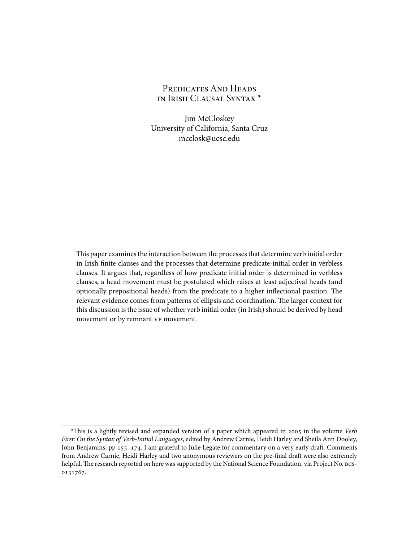# PREDICATES AND HEADS IN IRISH CLAUSAL SYNTAX \*

Jim McCloskey University of California, Santa Cruz mcclosk@ucsc.edu

This paper examines the interaction between the processes that determine verb initial order in Irish finite clauses and the processes that determine predicate-initial order in verbless clauses. It argues that, regardless of how predicate initial order is determined in verbless clauses, a head movement must be postulated which raises at least adjectival heads (and optionally prepositional heads) from the predicate to a higher inflectional position. The relevant evidence comes from patterns of ellipsis and coordination. The larger context for this discussion is the issue of whether verb initial order (in Irish) should be derived by head movement or by remnant VP movement.

<sup>\*</sup>This is a lightly revised and expanded version of a paper which appeared in 2005 in the volume *Verb First: On the Syntax of Verb-Initial Languages*, edited by Andrew Carnie, Heidi Harley and Sheila Ann Dooley, John Benjamins, pp 155–174. I am grateful to Julie Legate for commentary on a very early draft. Comments from Andrew Carnie, Heidi Harley and two anonymous reviewers on the pre-final draft were also extremely helpful. The research reported on here was supported by the National Science Foundation, via Project No. BCS-0131767.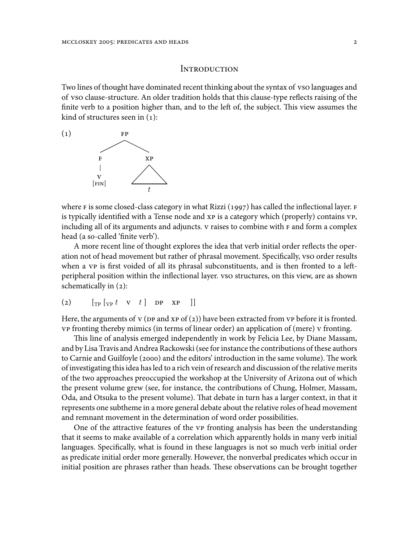### **INTRODUCTION**

Two lines of thought have dominated recent thinking about the syntax of vso languages and of VSO clause-structure. An older tradition holds that this clause-type reflects raising of the finite verb to a position higher than, and to the left of, the subject. This view assumes the kind of structures seen in (1):



where F is some closed-class category in what Rizzi (1997) has called the inflectional layer. F is typically identified with a Tense node and XP is a category which (properly) contains VP, including all of its arguments and adjuncts. V raises to combine with F and form a complex head (a so-called 'finite verb').

A more recent line of thought explores the idea that verb initial order reflects the operation not of head movement but rather of phrasal movement. Specifically, vso order results when a VP is first voided of all its phrasal subconstituents, and is then fronted to a leftperipheral position within the inflectional layer. VSO structures, on this view, are as shown schematically in (2):

$$
(2) \qquad [\text{TP} [v_P t \quad v \quad t \quad ] \quad \text{DP} \quad \text{XP} \quad ]]
$$

Here, the arguments of v ( $p$ P and  $xp$  of ( $z$ )) have been extracted from  $vp$  before it is fronted. VP fronting thereby mimics (in terms of linear order) an application of (mere) V fronting.

This line of analysis emerged independently in work by Felicia Lee, by Diane Massam, and by Lisa Travis and Andrea Rackowski (see for instance the contributions of these authors to Carnie and Guilfoyle (2000) and the editors' introduction in the same volume). The work of investigating this idea has led to a rich vein of research and discussion of the relative merits of the two approaches preoccupied the workshop at the University of Arizona out of which the present volume grew (see, for instance, the contributions of Chung, Holmer, Massam, Oda, and Otsuka to the present volume). That debate in turn has a larger context, in that it represents one subtheme in a more general debate about the relative roles of head movement and remnant movement in the determination of word order possibilities.

One of the attractive features of the VP fronting analysis has been the understanding that it seems to make available of a correlation which apparently holds in many verb initial languages. Specifically, what is found in these languages is not so much verb initial order as predicate initial order more generally. However, the nonverbal predicates which occur in initial position are phrases rather than heads. These observations can be brought together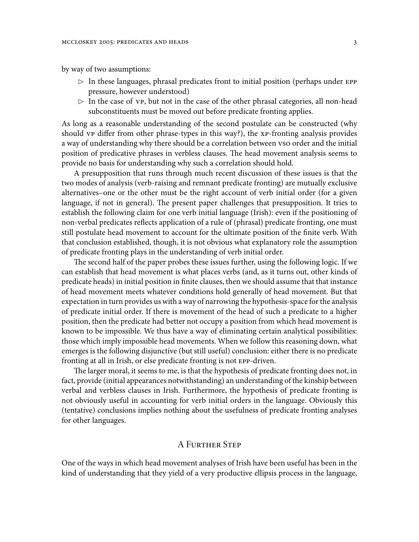by way of two assumptions:

- *✄* In these languages, phrasal predicates front to initial position (perhaps under EPP pressure, however understood)
- *✄* In the case of VP, but not in the case of the other phrasal categories, all non-head subconstituents must be moved out before predicate fronting applies.

As long as a reasonable understanding of the second postulate can be constructed (why should VP differ from other phrase-types in this way?), the XP-fronting analysis provides a way of understanding why there should be a correlation between vso order and the initial position of predicative phrases in verbless clauses. The head movement analysis seems to provide no basis for understanding why such a correlation should hold.

A presupposition that runs through much recent discussion of these issues is that the two modes of analysis (verb-raising and remnant predicate fronting) are mutually exclusive alternatives–one or the other must be the right account of verb initial order (for a given language, if not in general). The present paper challenges that presupposition. It tries to establish the following claim for one verb initial language (Irish): even if the positioning of non-verbal predicates reflects application of a rule of (phrasal) predicate fronting, one must still postulate head movement to account for the ultimate position of the finite verb. With that conclusion established, though, it is not obvious what explanatory role the assumption of predicate fronting plays in the understanding of verb initial order.

The second half of the paper probes these issues further, using the following logic. If we can establish that head movement is what places verbs (and, as it turns out, other kinds of predicate heads) in initial position in finite clauses, then we should assume that that instance of head movement meets whatever conditions hold generally of head movement. But that expectation in turn provides us with a way of narrowing the hypothesis-space for the analysis of predicate initial order. If there is movement of the head of such a predicate to a higher position, then the predicate had better not occupy a position from which head movement is known to be impossible. We thus have a way of eliminating certain analytical possibilities: those which imply impossible head movements. When we follow this reasoning down, what emerges is the following disjunctive (but still useful) conclusion: either there is no predicate fronting at all in Irish, or else predicate fronting is not EPP-driven.

The larger moral, it seems to me, is that the hypothesis of predicate fronting does not, in fact, provide (initial appearances notwithstanding) an understanding of the kinship between verbal and verbless clauses in Irish. Furthermore, the hypothesis of predicate fronting is not obviously useful in accounting for verb initial orders in the language. Obviously this (tentative) conclusions implies nothing about the usefulness of predicate fronting analyses for other languages.

## A FURTHER STEP

One of the ways in which head movement analyses of Irish have been useful has been in the kind of understanding that they yield of a very productive ellipsis process in the language,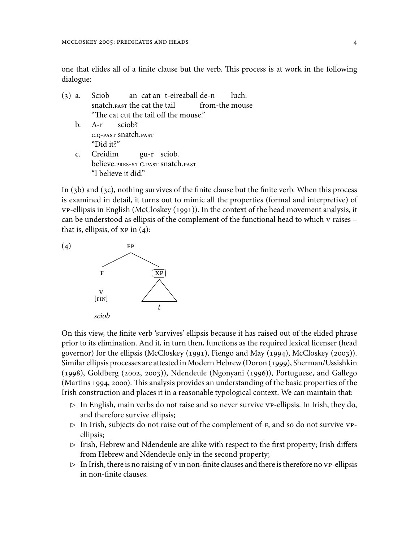one that elides all of a finite clause but the verb. This process is at work in the following dialogue:

- (3) a. Sciob snatch. $_{\rm PaST}$  the cat the tail an cat an t-eireaball de-n from-the mouse luch. "The cat cut the tail off the mouse." b. A-r C.Q-PAST snatch.PAST sciob? "Did it?"
	- c. Creidim believe.PRES-S1 C.PAST snatch.PAST gu-r sciob. "I believe it did."

In (3b) and (3c), nothing survives of the finite clause but the finite verb. When this process is examined in detail, it turns out to mimic all the properties (formal and interpretive) of VP-ellipsis in English (McCloskey (1991)). In the context of the head movement analysis, it can be understood as ellipsis of the complement of the functional head to which V raises – that is, ellipsis, of  $XP$  in  $(4)$ :



On this view, the finite verb 'survives' ellipsis because it has raised out of the elided phrase prior to its elimination. And it, in turn then, functions as the required lexical licenser (head governor) for the ellipsis (McCloskey (1991), Fiengo and May (1994), McCloskey (2003)). Similar ellipsis processes are attested in Modern Hebrew (Doron (1999), Sherman/Ussishkin (1998), Goldberg (2002, 2003)), Ndendeule (Ngonyani (1996)), Portuguese, and Gallego (Martins 1994, 2000). This analysis provides an understanding of the basic properties of the Irish construction and places it in a reasonable typological context. We can maintain that:

- *✄* In English, main verbs do not raise and so never survive VP-ellipsis. In Irish, they do, and therefore survive ellipsis;
- *✄* In Irish, subjects do not raise out of the complement of F, and so do not survive VPellipsis;
- *✄* Irish, Hebrew and Ndendeule are alike with respect to the first property; Irish differs from Hebrew and Ndendeule only in the second property;
- *✄* In Irish, there is no raising of V in non-finite clauses and there is therefore no VP-ellipsis in non-finite clauses.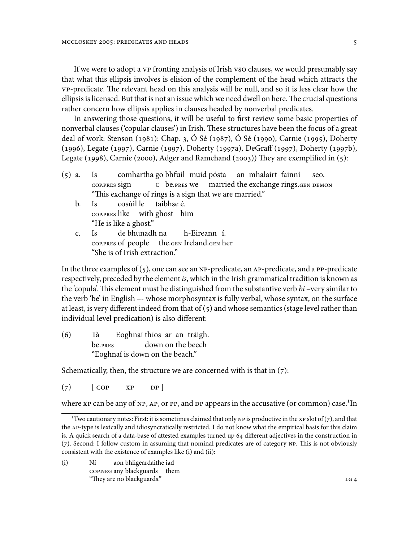If we were to adopt a vp fronting analysis of Irish vso clauses, we would presumably say that what this ellipsis involves is elision of the complement of the head which attracts the VP-predicate. The relevant head on this analysis will be null, and so it is less clear how the ellipsis is licensed. But that is not an issue which we need dwell on here. The crucial questions rather concern how ellipsis applies in clauses headed by nonverbal predicates.

In answering those questions, it will be useful to first review some basic properties of nonverbal clauses ('copular clauses') in Irish. These structures have been the focus of a great deal of work: Stenson (1981): Chap. 3, Ó Sé (1987), Ó Sé (1990), Carnie (1995), Doherty (1996), Legate (1997), Carnie (1997), Doherty (1997a), DeGraff (1997), Doherty (1997b), Legate (1998), Carnie (2000), Adger and Ramchand (2003)) They are exemplified in (5):

- (5) a. Is COP.PRES sign comhartha go bhfuil muid pósta C be.PRES we married the exchange rings.GEN DEMON an mhalairt fainní seo. "This exchange of rings is a sign that we are married."
	- b. Is COP.PRES like with ghost him cosúil le taibhse é. "He is like a ghost."
	- c. Is COP.PRES of people the.GEN Ireland.GEN her de bhunadh na h-Eireann í. "She is of Irish extraction."

In the three examples of  $(5)$ , one can see an NP-predicate, an AP-predicate, and a PP-predicate respectively, preceded by the element *is*, which in the Irish grammatical tradition is known as the 'copula'. This element must be distinguished from the substantive verb *bí* –very similar to the verb 'be' in English –- whose morphosyntax is fully verbal, whose syntax, on the surface at least, is very different indeed from that of (5) and whose semantics (stage level rather than individual level predication) is also different:

(6) Tá be.PRES Eoghnaí thíos ar an tráigh. down on the beech "Eoghnaí is down on the beach."

Schematically, then, the structure we are concerned with is that in  $(7)$ :

 $(7)$   $[$  COP XP DP  $]$ 

where  $XP$  can be any of  $NP$ ,  $AP$ , or  $PP$ , and  $DP$  appears in the accusative (or common) case.<sup>1</sup>In

(i) Ní COP.NEG any blackguards them aon bhligeardaithe iad "They are no blackguards." LG 4

<sup>&</sup>lt;sup>1</sup>Two cautionary notes: First: it is sometimes claimed that only NP is productive in the XP slot of (7), and that the AP-type is lexically and idiosyncratically restricted. I do not know what the empirical basis for this claim is. A quick search of a data-base of attested examples turned up 64 different adjectives in the construction in (7). Second: I follow custom in assuming that nominal predicates are of category NP. This is not obviously consistent with the existence of examples like (i) and (ii):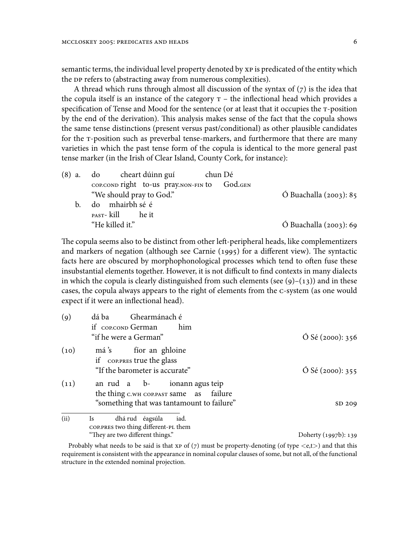semantic terms, the individual level property denoted by XP is predicated of the entity which the DP refers to (abstracting away from numerous complexities).

A thread which runs through almost all discussion of the syntax of  $(7)$  is the idea that the copula itself is an instance of the category  $T -$  the inflectional head which provides a specification of Tense and Mood for the sentence (or at least that it occupies the T-position by the end of the derivation). This analysis makes sense of the fact that the copula shows the same tense distinctions (present versus past/conditional) as other plausible candidates for the T-position such as preverbal tense-markers, and furthermore that there are many varieties in which the past tense form of the copula is identical to the more general past tense marker (in the Irish of Clear Island, County Cork, for instance):

|    | (8) a. do cheart dúinn guí                   | chun Dé |                                  |
|----|----------------------------------------------|---------|----------------------------------|
|    | COP.COND right to-us pray.NON-FIN to God.GEN |         |                                  |
|    | "We should pray to God."                     |         | $\acute{O}$ Buachalla (2003): 85 |
| b. | do mhairbh sé é                              |         |                                  |
|    | PAST- kill he it                             |         |                                  |
|    | "He killed it."                              |         | $\acute{O}$ Buachalla (2003): 69 |

The copula seems also to be distinct from other left-peripheral heads, like complementizers and markers of negation (although see Carnie (1995) for a different view). The syntactic facts here are obscured by morphophonological processes which tend to often fuse these insubstantial elements together. However, it is not difficult to find contexts in many dialects in which the copula is clearly distinguished from such elements (see  $(9)-(13)$ ) and in these cases, the copula always appears to the right of elements from the C-system (as one would expect if it were an inflectional head).

| $\left( 9\right)$ | Ghearmánach é<br>dá ba                                                   |                            |
|-------------------|--------------------------------------------------------------------------|----------------------------|
|                   | if cop.conp German<br>him                                                |                            |
|                   | "if he were a German"                                                    | $\acute{O}$ Sé (2000): 356 |
| (10)              | má's fíor an ghloine<br>if coppres true the glass                        |                            |
|                   | "If the barometer is accurate"                                           | $\acute{O}$ Sé (2000): 355 |
| (11)              | an rud a b- ionann agus teip<br>the thing c.wh cop. past same as failure |                            |
|                   | "something that was tantamount to failure"                               | SD 209                     |
| (ii)              | dhá rud éagsúla<br><b>Is</b><br>iad.                                     |                            |
|                   | COP.PRES two thing different-PL them                                     |                            |
|                   | "They are two different things."                                         | Doherty (1997b): 139       |

Probably what needs to be said is that XP of  $(7)$  must be property-denoting (of type  $\langle e, t \rangle$ ) and that this requirement is consistent with the appearance in nominal copular clauses of some, but not all, of the functional structure in the extended nominal projection.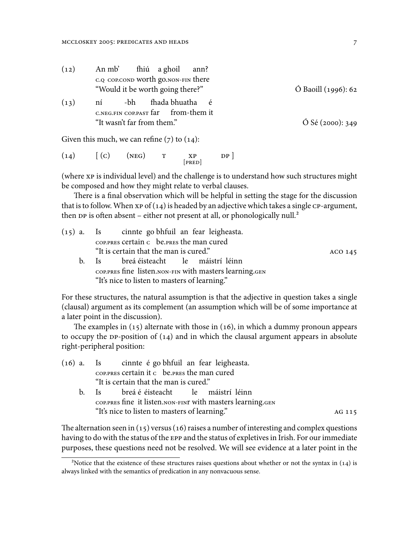| (12) | An mb' | fhiú a ghoil ann?                   |                               |
|------|--------|-------------------------------------|-------------------------------|
|      |        | c.q cop.conp worth go.non-fin there |                               |
|      |        | "Would it be worth going there?"    | $\acute{O}$ Baoill (1996): 62 |
|      |        |                                     |                               |

#### $(13)$  ní C.NEG.FIN COP.PAST far -bh fhada bhuatha from-them it é "It wasn't far from them."  $\acute{O}$  Sé (2000): 349

Given this much, we can refine  $(7)$  to  $(14)$ :

 $(14)$   $[(C)$   $(NEG)$  T XP [PRED]  $DP<sub>1</sub>$ 

(where XP is individual level) and the challenge is to understand how such structures might be composed and how they might relate to verbal clauses.

There is a final observation which will be helpful in setting the stage for the discussion that is to follow. When  $xp$  of  $(14)$  is headed by an adjective which takes a single  $\text{CP-argument}$ , then DP is often absent – either not present at all, or phonologically null.<sup>2</sup>

| $(15)$ a. Is cinnte go bhfuil an fear leigheasta.      |         |  |  |  |  |  |  |  |
|--------------------------------------------------------|---------|--|--|--|--|--|--|--|
| COP.PRES Certain c be.PRES the man cured               |         |  |  |  |  |  |  |  |
| "It is certain that the man is cured."                 | ACO 145 |  |  |  |  |  |  |  |
| b. Is breá éisteacht le máistrí léinn                  |         |  |  |  |  |  |  |  |
| COP.PRES fine listen.NON-FIN with masters learning.GEN |         |  |  |  |  |  |  |  |
| "It's nice to listen to masters of learning."          |         |  |  |  |  |  |  |  |

For these structures, the natural assumption is that the adjective in question takes a single (clausal) argument as its complement (an assumption which will be of some importance at a later point in the discussion).

The examples in (15) alternate with those in (16), in which a dummy pronoun appears to occupy the DP-position of (14) and in which the clausal argument appears in absolute right-peripheral position:

| (16) a. Is cinnte é go bhfuil an fear leigheasta.          |  |  |  |  |  |  |
|------------------------------------------------------------|--|--|--|--|--|--|
| COP.PRES Certain it c be.PRES the man cured                |  |  |  |  |  |  |
| "It is certain that the man is cured."                     |  |  |  |  |  |  |
| b. Is breá é éisteacht le máistrí léinn                    |  |  |  |  |  |  |
| COP.PRES fine it listen.NON-FINT with masters learning.GEN |  |  |  |  |  |  |
| "It's nice to listen to masters of learning."              |  |  |  |  |  |  |
|                                                            |  |  |  |  |  |  |

The alternation seen in (15) versus (16) raises a number of interesting and complex questions having to do with the status of the EPP and the status of expletives in Irish. For our immediate purposes, these questions need not be resolved. We will see evidence at a later point in the

²Notice that the existence of these structures raises questions about whether or not the syntax in (14) is always linked with the semantics of predication in any nonvacuous sense.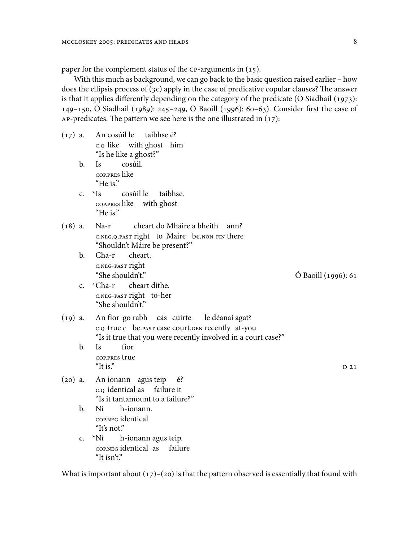paper for the complement status of the CP-arguments in (15).

With this much as background, we can go back to the basic question raised earlier – how does the ellipsis process of (3c) apply in the case of predicative copular clauses? The answer is that it applies differently depending on the category of the predicate ( $\acute{o}$  Siadhail (1973): 149–150, Ó Siadhail (1989): 245–249, Ó Baoill (1996): 60–63). Consider first the case of AP-predicates. The pattern we see here is the one illustrated in  $(17)$ :

- $(17)$  a. C.Q like with ghost him cosúil le taibhse é? "Is he like a ghost?"
	- b. Is COP.PRES like cosúil. "He is."
	- $c. *Is$ COP.PRES like with ghost cosúil le taibhse. "He is."
- (18) a. Na-r C.NEG.Q.PAST right to Maire be.NON-FIN there cheart do Mháire a bheith ann? "Shouldn't Máire be present?"
	- b. Cha-r C.NEG-PAST right cheart. "She shouldn't." Ó Baoill (1996): 61
	- c. \*Cha-r C.NEG-PAST right to-her cheart dithe. "She shouldn't."
- $(19)$  a. C.Q true C be.PAST case court.GEN recently at-you fíor go rabh cás cúirte le déanaí agat? "Is it true that you were recently involved in a court case?"
	- b. Is COP.PRES true fíor. "It is."  $D_21$
- $(20)$  a. C.Q identical as failure it ionann agus teip é? "Is it tantamount to a failure?"
	- b. Ní COP.NEG identical h-ionann. "It's not."
	- c. \*Ní COP.NEG identical as failure h-ionann agus teip. "It isn't"

What is important about  $(17)$ – $(20)$  is that the pattern observed is essentially that found with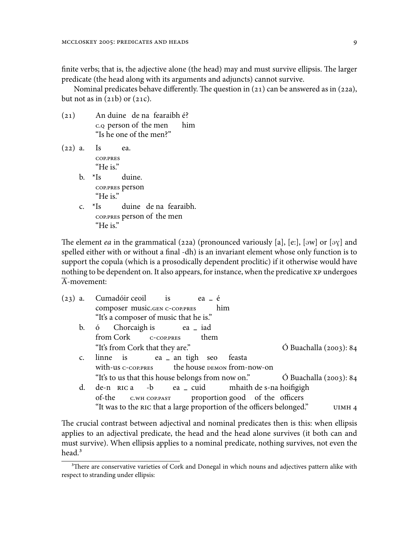finite verbs; that is, the adjective alone (the head) may and must survive ellipsis. The larger predicate (the head along with its arguments and adjuncts) cannot survive.

Nominal predicates behave differently. The question in (21) can be answered as in (22a), but not as in  $(21b)$  or  $(21c)$ .

- $(21)$ C.Q person of the men duine de na fearaibh é? him "Is he one of the men?"
- (22) a. Is COP.PRES ea. "He is." b.  $*$ Is COP.PRES person duine. "He is." c.  $*$ Is COP.PRES person of the men duine de na fearaibh. "He is."

The element *ea* in the grammatical (22a) (pronounced variously [a], [e:], [əw] or [ə $\gamma$ ] and spelled either with or without a final -dh) is an invariant element whose only function is to support the copula (which is a prosodically dependent proclitic) if it otherwise would have nothing to be dependent on. It also appears, for instance, when the predicative XP undergoes  $\overline{A}$ -movement:

| $(23)$ a.      | Cumadóir ceoil is ea - é                                                                   |
|----------------|--------------------------------------------------------------------------------------------|
|                | composer music.GEN C-COP.PRES him                                                          |
|                | "It's a composer of music that he is."                                                     |
|                | b. ó Chorcaigh is ea _ iad                                                                 |
|                | from Cork C-COP.PRES<br>them                                                               |
|                | "It's from Cork that they are."<br>$\acute{O}$ Buachalla (2003): 84                        |
| $\mathsf{C}$ . | linne is ea an tigh seo feasta                                                             |
|                | with-us c-cop. PRES the house DEMON from-now-on                                            |
|                | "It's to us that this house belongs from now on." $\qquad \qquad$ O Buachalla (2003): 84   |
| $d_{\cdot}$    | de-n RIC a -b ea _ cuid mhaith de s-na hoifigigh                                           |
|                | of-the C.WH COP.PAST proportion good of the officers                                       |
|                | "It was to the RIC that a large proportion of the officers belonged."<br>UIMH <sub>4</sub> |

The crucial contrast between adjectival and nominal predicates then is this: when ellipsis applies to an adjectival predicate, the head and the head alone survives (it both can and must survive). When ellipsis applies to a nominal predicate, nothing survives, not even the head.<sup>3</sup>

<sup>&</sup>lt;sup>3</sup>There are conservative varieties of Cork and Donegal in which nouns and adjectives pattern alike with respect to stranding under ellipsis: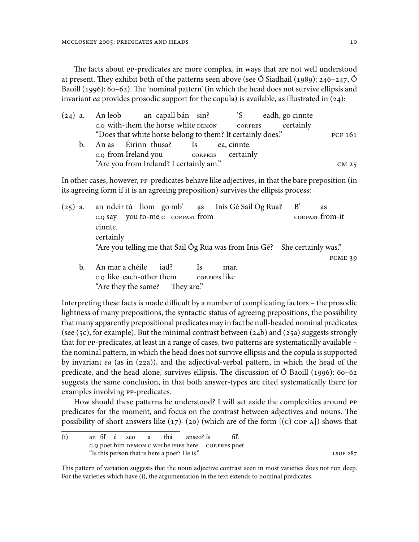The facts about PP-predicates are more complex, in ways that are not well understood at present. They exhibit both of the patterns seen above (see  $\acute{o}$  Siadhail (1989): 246–247,  $\acute{o}$ Baoill (1996): 60–62). The 'nominal pattern' (in which the head does not survive ellipsis and invariant *ea* provides prosodic support for the copula) is available, as illustrated in (24):

|                | (24) a. An leob an capall bán sin? 'S eadh, go cinnte      |  |  |           |                  |  |
|----------------|------------------------------------------------------------|--|--|-----------|------------------|--|
|                | c.q with-them the horse white DEMON COP.PRES               |  |  | certainly |                  |  |
|                | "Does that white horse belong to them? It certainly does." |  |  |           | PCF 161          |  |
| $\mathbf{b}$ . | An as firinn thusa? Is ea, cinnte.                         |  |  |           |                  |  |
|                | c. <sub>Q</sub> from Ireland you coppres certainly         |  |  |           |                  |  |
|                | "Are you from Ireland? I certainly am."                    |  |  |           | CM <sub>25</sub> |  |
|                |                                                            |  |  |           |                  |  |

In other cases, however, PP-predicates behave like adjectives, in that the bare preposition (in its agreeing form if it is an agreeing preposition) survives the ellipsis process:

|    |                                                          |               | $(25)$ a. an ndeir tú liom go mb' as Inis Gé Sail Og Rua?                  | $\mathbf{B}'$ | <b>as</b>        |  |
|----|----------------------------------------------------------|---------------|----------------------------------------------------------------------------|---------------|------------------|--|
|    | c.q say you to-me c corpare from<br>cinnte.<br>certainly |               |                                                                            |               | COP.PAST from-it |  |
|    |                                                          |               | "Are you telling me that Sail Óg Rua was from Inis Gé? She certainly was." |               | FCME 39          |  |
| b. | An mar a chéile iad?<br>c.q like each-other them         | <sup>1s</sup> | mar.<br>cop.pres like                                                      |               |                  |  |

"Are they the same? They are."

Interpreting these facts is made difficult by a number of complicating factors – the prosodic lightness of many prepositions, the syntactic status of agreeing prepositions, the possibility that many apparently prepositional predicates may in fact be null-headed nominal predicates (see (5c), for example). But the minimal contrast between  $(24b)$  and  $(25a)$  suggests strongly that for PP-predicates, at least in a range of cases, two patterns are systematically available – the nominal pattern, in which the head does not survive ellipsis and the copula is supported by invariant *ea* (as in (22a)), and the adjectival-verbal pattern, in which the head of the predicate, and the head alone, survives ellipsis. The discussion of Ó Baoill (1996): 60–62 suggests the same conclusion, in that both answer-types are cited systematically there for examples involving PP-predicates.

How should these patterns be understood? I will set aside the complexities around PP predicates for the moment, and focus on the contrast between adjectives and nouns. The possibility of short answers like  $(17)$ – $(20)$  (which are of the form  $[(c)$  cop A) shows that

 $(i)$ C.Q poet him DEMON C.WH be.PRES here COP.PRES poet fil' é seo a thá anseo? Is fil'. "Is this person that is here a poet? He is." LSUE 287

This pattern of variation suggests that the noun adjective contrast seen in most varieties does not run deep. For the varieties which have (i), the argumentation in the text extends to nominal predicates.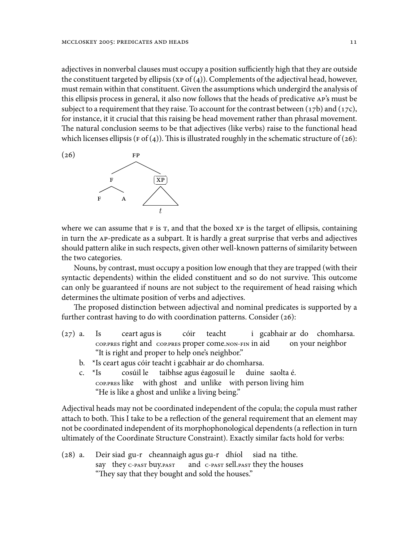adjectives in nonverbal clauses must occupy a position sufficiently high that they are outside the constituent targeted by ellipsis (xp of  $(4)$ ). Complements of the adjectival head, however, must remain within that constituent. Given the assumptions which undergird the analysis of this ellipsis process in general, it also now follows that the heads of predicative AP's must be subject to a requirement that they raise. To account for the contrast between  $(17b)$  and  $(17c)$ , for instance, it it crucial that this raising be head movement rather than phrasal movement. The natural conclusion seems to be that adjectives (like verbs) raise to the functional head which licenses ellipsis (F of (4)). This is illustrated roughly in the schematic structure of (26):



where we can assume that  $F$  is  $T$ , and that the boxed  $XP$  is the target of ellipsis, containing in turn the AP-predicate as a subpart. It is hardly a great surprise that verbs and adjectives should pattern alike in such respects, given other well-known patterns of similarity between the two categories.

Nouns, by contrast, must occupy a position low enough that they are trapped (with their syntactic dependents) within the elided constituent and so do not survive. This outcome can only be guaranteed if nouns are not subject to the requirement of head raising which determines the ultimate position of verbs and adjectives.

The proposed distinction between adjectival and nominal predicates is supported by a further contrast having to do with coordination patterns. Consider (26):

- (27) a. Is COP.PRES right and COP.PRES proper come.NON-FIN in aid ceart agus is cóir teacht i gcabhair ar do chomharsa. on your neighbor "It is right and proper to help one's neighbor."
	- b. \*Is ceart agus cóir teacht i gcabhair ar do chomharsa.
	- c.  $*$ Is COP.PRES like with ghost and unlike with person living him cosúil le taibhse agus éagosuil le duine saolta é. "He is like a ghost and unlike a living being."

Adjectival heads may not be coordinated independent of the copula; the copula must rather attach to both. This I take to be a reflection of the general requirement that an element may not be coordinated independent of its morphophonological dependents (a reflection in turn ultimately of the Coordinate Structure Constraint). Exactly similar facts hold for verbs:

 $(28)$  a. say they C-PAST buy.PAST siad gu-r cheannaigh agus gu-r dhíol siad na tithe. and C-PAST sell.PAST they the houses "They say that they bought and sold the houses."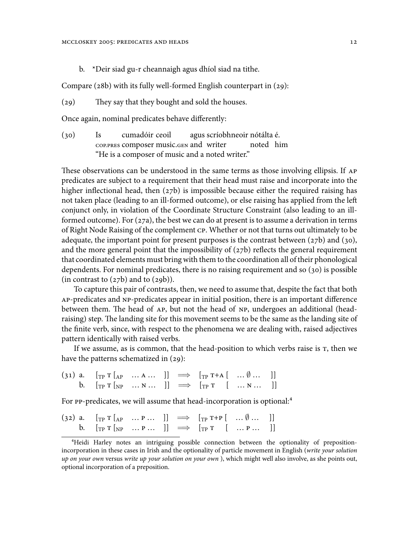b. \*Deir siad gu-r cheannaigh agus dhíol siad na tithe.

Compare (28b) with its fully well-formed English counterpart in (29):

(29) They say that they bought and sold the houses.

Once again, nominal predicates behave differently:

 $(30)$  Is COP.PRES composer music.GEN and writer cumadóir ceoil agus scríobhneoir nótálta é. noted him "He is a composer of music and a noted writer."

These observations can be understood in the same terms as those involving ellipsis. If AP predicates are subject to a requirement that their head must raise and incorporate into the higher inflectional head, then (27b) is impossible because either the required raising has not taken place (leading to an ill-formed outcome), or else raising has applied from the left conjunct only, in violation of the Coordinate Structure Constraint (also leading to an illformed outcome). For (27a), the best we can do at present is to assume a derivation in terms of Right Node Raising of the complement CP. Whether or not that turns out ultimately to be adequate, the important point for present purposes is the contrast between  $(27b)$  and  $(30)$ , and the more general point that the impossibility of  $(27b)$  reflects the general requirement that coordinated elements must bring with them to the coordination all of their phonological dependents. For nominal predicates, there is no raising requirement and so (30) is possible (in contrast to  $(27b)$  and to  $(29b)$ ).

To capture this pair of contrasts, then, we need to assume that, despite the fact that both AP-predicates and NP-predicates appear in initial position, there is an important difference between them. The head of AP, but not the head of NP, undergoes an additional (headraising) step. The landing site for this movement seems to be the same as the landing site of the finite verb, since, with respect to the phenomena we are dealing with, raised adjectives pattern identically with raised verbs.

If we assume, as is common, that the head-position to which verbs raise is T, then we have the patterns schematized in (29):

(31) a.  $[\text{TP T} [A P \dots A \dots] ] \implies [\text{TP T+A} [ \dots \emptyset \dots ] ]$ <br>b.  $[\text{TP T} [A P \dots A \dots] ] \implies [\text{TP T} [ \dots N \dots ] ]$  $[\text{TP T} [\text{NP} \dots \text{N} \dots] ] \implies [\text{TP T} \quad [\dots \text{N} \dots]$ 

For PP-predicates, we will assume that head-incorporation is optional:<sup>4</sup>

| (32) a. $[\text{TP T}[_{AP} \dots P \dots ]] \implies [\text{TP T+P} [\dots \emptyset \dots ]]$  |  |  |  |
|--------------------------------------------------------------------------------------------------|--|--|--|
| b. $[\text{TP T}[\text{NP} \dots \text{P} \dots]] \implies [\text{TP T} [\dots \text{P} \dots]]$ |  |  |  |

⁴Heidi Harley notes an intriguing possible connection between the optionality of prepositionincorporation in these cases in Irish and the optionality of particle movement in English (*write your solution up on your own* versus *write up your solution on your own* ), which might well also involve, as she points out, optional incorporation of a preposition.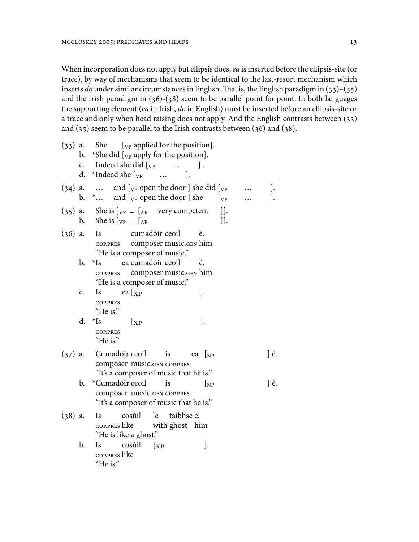When incorporation does not apply but ellipsis does, *ea* is inserted before the ellipsis-site (or trace), by way of mechanisms that seem to be identical to the last-resort mechanism which inserts *do* under similar circumstances in English.That is, the English paradigm in (33)–(35) and the Irish paradigm in (36)-(38) seem to be parallel point for point. In both languages the supporting element (*ea* in Irish, *do* in English) must be inserted before an ellipsis-site or a trace and only when head raising does not apply. And the English contrasts between (33) and (35) seem to be parallel to the Irish contrasts between (36) and (38).

| $(33)$ a. | b.<br>$\mathsf{c}$ .<br>d. | *She did $[\overline{v}_P$ apply for the position].<br>Indeed she did $[y_P \quad \dots$<br>$\cdot$<br>*Indeed she $\lceil v \rceil$<br>$\cdot$<br>$\cdots$                                                                                        |          |
|-----------|----------------------------|----------------------------------------------------------------------------------------------------------------------------------------------------------------------------------------------------------------------------------------------------|----------|
| $(34)$ a. | b.                         | and $\left[\begin{smallmatrix}V_P & \text{open} \end{smallmatrix}\right]$ the door ] she did $\left[\begin{smallmatrix}V_P & \text{open} \end{smallmatrix}\right]$<br>and $[\sqrt{v}$ open the door $]$ she<br>$\left[\mathrm{v}_P\right]$<br>$^*$ | J.<br>]. |
| (35)      | b.                         | $]$ ].<br>a. She is $\begin{bmatrix} v_P \\ -R_P \end{bmatrix}$ very competent<br>$]$ ].                                                                                                                                                           |          |
| $(36)$ a. |                            | cumadóir ceoil<br><b>Is</b><br>é.<br>COP.PRES composer music.GEN him<br>"He is a composer of music."                                                                                                                                               |          |
|           | b.                         | ea cumadoir ceoil<br>$\rm ^*Is$<br>é.<br>composer music.GEN him<br>COP.PRES<br>"He is a composer of music."                                                                                                                                        |          |
|           | c.                         | ea $\lceil x \rceil$<br>].<br>Is<br><b>COP.PRES</b><br>"He is."                                                                                                                                                                                    |          |
|           | d.                         | $\rm{^{\star}Is}$<br>$\cdot$<br>$\lbrack \mathrm{XP}% _{1}\rbrack$<br><b>COP.PRES</b><br>"He is."                                                                                                                                                  |          |
| $(37)$ a. |                            | Cumadóir ceoil<br><i>is</i><br>ea $\log$<br>composer music.GEN COP.PRES<br>"It's a composer of music that he is."                                                                                                                                  | ] é.     |
|           | b.                         | *Cumadóir ceoil<br>is<br>$\left[\text{NP}\right]$<br>composer music.GEN COP.PRES<br>"It's a composer of music that he is."                                                                                                                         | ] é.     |
| $(38)$ a. |                            | taibhse é.<br><b>Is</b><br>cosúil<br>le<br>cop.pres like<br>with ghost him<br>"He is like a ghost."                                                                                                                                                |          |
|           | b.                         | cosúil<br>Is<br>].<br>$\left[\mathrm{xp}\right]$<br>COP.PRES like<br>"He is."                                                                                                                                                                      |          |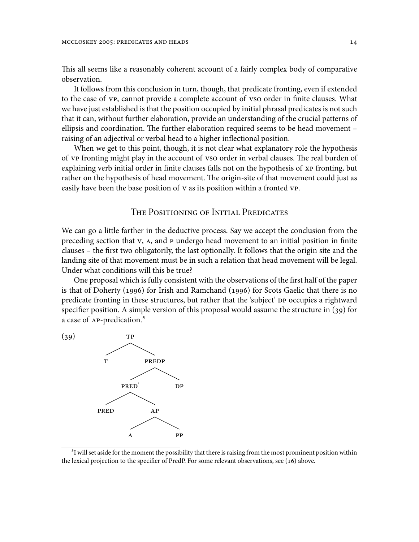This all seems like a reasonably coherent account of a fairly complex body of comparative observation.

It follows from this conclusion in turn, though, that predicate fronting, even if extended to the case of vp, cannot provide a complete account of vso order in finite clauses. What we have just established is that the position occupied by initial phrasal predicates is not such that it can, without further elaboration, provide an understanding of the crucial patterns of ellipsis and coordination. The further elaboration required seems to be head movement – raising of an adjectival or verbal head to a higher inflectional position.

When we get to this point, though, it is not clear what explanatory role the hypothesis of VP fronting might play in the account of VSO order in verbal clauses. The real burden of explaining verb initial order in finite clauses falls not on the hypothesis of XP fronting, but rather on the hypothesis of head movement. The origin-site of that movement could just as easily have been the base position of V as its position within a fronted VP.

# THE POSITIONING OF INITIAL PREDICATES

We can go a little farther in the deductive process. Say we accept the conclusion from the preceding section that V, A, and P undergo head movement to an initial position in finite clauses – the first two obligatorily, the last optionally. It follows that the origin site and the landing site of that movement must be in such a relation that head movement will be legal. Under what conditions will this be true?

One proposal which is fully consistent with the observations of the first half of the paper is that of Doherty (1996) for Irish and Ramchand (1996) for Scots Gaelic that there is no predicate fronting in these structures, but rather that the 'subject' DP occupies a rightward specifier position. A simple version of this proposal would assume the structure in (39) for a case of AP-predication.<sup>5</sup>



<sup>&</sup>lt;sup>5</sup>I will set aside for the moment the possibility that there is raising from the most prominent position within the lexical projection to the specifier of PredP. For some relevant observations, see (16) above.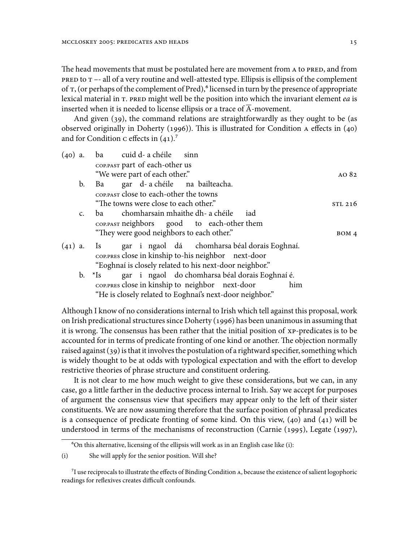The head movements that must be postulated here are movement from A to PRED, and from PRED to T –- all of a very routine and well-attested type. Ellipsis is ellipsis of the complement of T, (or perhaps of the complement of Pred),<sup>6</sup> licensed in turn by the presence of appropriate lexical material in T. PRED might well be the position into which the invariant element *ea* is inserted when it is needed to license ellipsis or a trace of  $\overline{A}$ -movement.

And given (39), the command relations are straightforwardly as they ought to be (as observed originally in Doherty (1996)). This is illustrated for Condition A effects in (40) and for Condition c effects in  $(41)$ .<sup>7</sup>

| $(40)$ a. |                |       | ba cuid d- a chéile                    | sinn                                                                                                                                                                                                                           |           |
|-----------|----------------|-------|----------------------------------------|--------------------------------------------------------------------------------------------------------------------------------------------------------------------------------------------------------------------------------|-----------|
|           |                |       | COP.PAST part of each-other us         |                                                                                                                                                                                                                                |           |
|           |                |       | "We were part of each other."          |                                                                                                                                                                                                                                | $AO$ $82$ |
|           | $\mathbf{b}$ . | Ba    |                                        | gar d-a chéile na bailteacha.                                                                                                                                                                                                  |           |
|           |                |       | COP.PAST close to each-other the towns |                                                                                                                                                                                                                                |           |
|           |                |       | "The towns were close to each other."  |                                                                                                                                                                                                                                | STL 216   |
|           | $\mathsf{C}$ . | ba ta |                                        | chomharsain mhaithe dh- a chéile<br>iad                                                                                                                                                                                        |           |
|           |                |       |                                        | coppendent coppendent coppendent coppendent coppendent coppending coppending coppending coppending coppending coppending coppending coppending coppending coppending coppending coppending coppending coppending coppending co |           |
|           |                |       |                                        | "They were good neighbors to each other."                                                                                                                                                                                      | BOM 4     |
| $(41)$ a. |                | - Is  |                                        | gar i ngaol dá chomharsa béal dorais Eoghnaí.                                                                                                                                                                                  |           |
|           |                |       |                                        | COP.PRES close in kinship to-his neighbor next-door                                                                                                                                                                            |           |
|           |                |       |                                        | "Eoghnaí is closely related to his next-door neighbor."                                                                                                                                                                        |           |
|           | b. $*$ Is      |       |                                        | gar i ngaol do chomharsa béal dorais Eoghnaí é.                                                                                                                                                                                |           |
|           |                |       |                                        | COP.PRES close in kinship to neighbor next-door<br>him                                                                                                                                                                         |           |
|           |                |       |                                        | "He is closely related to Eoghnai's next-door neighbor."                                                                                                                                                                       |           |

Although I know of no considerations internal to Irish which tell against this proposal, work on Irish predicational structures since Doherty (1996) has been unanimous in assuming that it is wrong. The consensus has been rather that the initial position of XP-predicates is to be accounted for in terms of predicate fronting of one kind or another. The objection normally raised against (39) is that it involves the postulation of a rightward specifier, something which is widely thought to be at odds with typological expectation and with the effort to develop restrictive theories of phrase structure and constituent ordering.

It is not clear to me how much weight to give these considerations, but we can, in any case, go a little farther in the deductive process internal to Irish. Say we accept for purposes of argument the consensus view that specifiers may appear only to the left of their sister constituents. We are now assuming therefore that the surface position of phrasal predicates is a consequence of predicate fronting of some kind. On this view, (40) and (41) will be understood in terms of the mechanisms of reconstruction (Carnie (1995), Legate (1997),

⁶On this alternative, licensing of the ellipsis will work as in an English case like (i):

<sup>(</sup>i) She will apply for the senior position. Will she?

<sup>&</sup>lt;sup>7</sup>I use reciprocals to illustrate the effects of Binding Condition A, because the existence of salient logophoric readings for reflexives creates difficult confounds.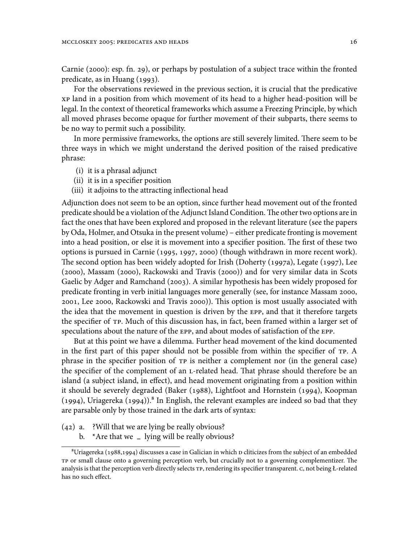Carnie (2000): esp. fn. 29), or perhaps by postulation of a subject trace within the fronted predicate, as in Huang (1993).

For the observations reviewed in the previous section, it is crucial that the predicative XP land in a position from which movement of its head to a higher head-position will be legal. In the context of theoretical frameworks which assume a Freezing Principle, by which all moved phrases become opaque for further movement of their subparts, there seems to be no way to permit such a possibility.

In more permissive frameworks, the options are still severely limited. There seem to be three ways in which we might understand the derived position of the raised predicative phrase:

- (i) it is a phrasal adjunct
- (ii) it is in a specifier position
- (iii) it adjoins to the attracting inflectional head

Adjunction does not seem to be an option, since further head movement out of the fronted predicate should be a violation of the Adjunct Island Condition.The other two options are in fact the ones that have been explored and proposed in the relevant literature (see the papers by Oda, Holmer, and Otsuka in the present volume) – either predicate fronting is movement into a head position, or else it is movement into a specifier position. The first of these two options is pursued in Carnie (1995, 1997, 2000) (though withdrawn in more recent work). The second option has been widely adopted for Irish (Doherty (1997a), Legate (1997), Lee (2000), Massam (2000), Rackowski and Travis (2000)) and for very similar data in Scots Gaelic by Adger and Ramchand (2003). A similar hypothesis has been widely proposed for predicate fronting in verb initial languages more generally (see, for instance Massam 2000, 2001, Lee 2000, Rackowski and Travis 2000)). This option is most usually associated with the idea that the movement in question is driven by the EPP, and that it therefore targets the specifier of TP. Much of this discussion has, in fact, been framed within a larger set of speculations about the nature of the EPP, and about modes of satisfaction of the EPP.

But at this point we have a dilemma. Further head movement of the kind documented in the first part of this paper should not be possible from within the specifier of TP. A phrase in the specifier position of TP is neither a complement nor (in the general case) the specifier of the complement of an L-related head. That phrase should therefore be an island (a subject island, in effect), and head movement originating from a position within it should be severely degraded (Baker (1988), Lightfoot and Hornstein (1994), Koopman (1994), Uriagereka (1994)). $^{8}$  In English, the relevant examples are indeed so bad that they are parsable only by those trained in the dark arts of syntax:

- (42) a. ?Will that we are lying be really obvious?
	- b. \*Are that we **–** lying will be really obvious?

 $\text{``Uriagereka}$  (1988,1994) discusses a case in Galician in which p cliticizes from the subject of an embedded TP or small clause onto a governing perception verb, but crucially not to a governing complementizer. The analysis is that the perception verb directly selects TP, rendering its specifier transparent. C, not being Ł-related has no such effect.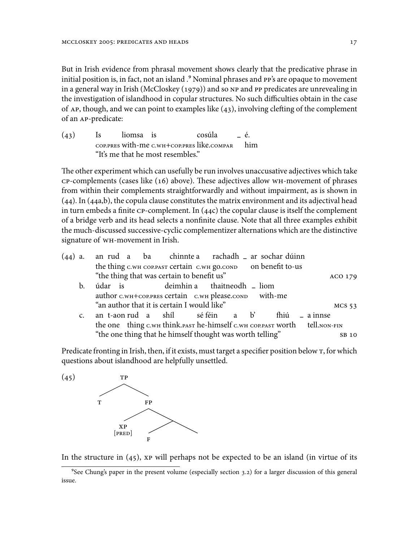But in Irish evidence from phrasal movement shows clearly that the predicative phrase in initial position is, in fact, not an island .<sup>9</sup> Nominal phrases and PP's are opaque to movement in a general way in Irish (McCloskey (1979)) and so NP and PP predicates are unrevealing in the investigation of islandhood in copular structures. No such difficulties obtain in the case of AP, though, and we can point to examples like (43), involving clefting of the complement of an AP-predicate:

| (43) | Is liomsa is |                                                | cosúla<br>$-\dot{e}$ |  |
|------|--------------|------------------------------------------------|----------------------|--|
|      |              | COP.PRES with-me C.WH+COP.PRES like.COMPAR him |                      |  |
|      |              | "It's me that he most resembles."              |                      |  |

The other experiment which can usefully be run involves unaccusative adjectives which take CP-complements (cases like (16) above). These adjectives allow WH-movement of phrases from within their complements straightforwardly and without impairment, as is shown in (44). In (44a,b), the copula clause constitutes the matrix environment and its adjectival head in turn embeds a finite CP-complement. In (44c) the copular clause is itself the complement of a bridge verb and its head selects a nonfinite clause. Note that all three examples exhibit the much-discussed successive-cyclic complementizer alternations which are the distinctive signature of WH-movement in Irish.

|                                                       | ACO 179                                                                                                                                                                                                                                                                                                                                                                                  |
|-------------------------------------------------------|------------------------------------------------------------------------------------------------------------------------------------------------------------------------------------------------------------------------------------------------------------------------------------------------------------------------------------------------------------------------------------------|
|                                                       |                                                                                                                                                                                                                                                                                                                                                                                          |
| author c.wH+coP.PRES certain c.wH please.conp with-me |                                                                                                                                                                                                                                                                                                                                                                                          |
|                                                       | $MCS$ 53                                                                                                                                                                                                                                                                                                                                                                                 |
|                                                       | fhiú<br>$=$ a innse                                                                                                                                                                                                                                                                                                                                                                      |
|                                                       | the one thing c.wh think.past he-himself c.wh COP.PAST WOTth tell.NON-FIN                                                                                                                                                                                                                                                                                                                |
|                                                       | SB 10                                                                                                                                                                                                                                                                                                                                                                                    |
|                                                       | an rud a ba chinnte a rachadh ar sochar dúinn<br>$(44)$ a.<br>the thing C.WH COP.PAST Certain C.WH gO.COND on benefit to-us<br>"the thing that was certain to benefit us"<br>údar is deimhin a thaitneodh _ liom<br>b.<br>"an author that it is certain I would like"<br>an t-aon rud a shíl sé féin a b'<br>$\mathsf{C}$ .<br>"the one thing that he himself thought was worth telling" |

Predicate fronting in Irish, then, if it exists, must target a specifier position below T, for which questions about islandhood are helpfully unsettled.

 $(45)$  TP T FP XP [PRED] F

In the structure in  $(45)$ , xp will perhaps not be expected to be an island (in virtue of its

<sup>&</sup>lt;sup>9</sup>See Chung's paper in the present volume (especially section 3.2) for a larger discussion of this general issue.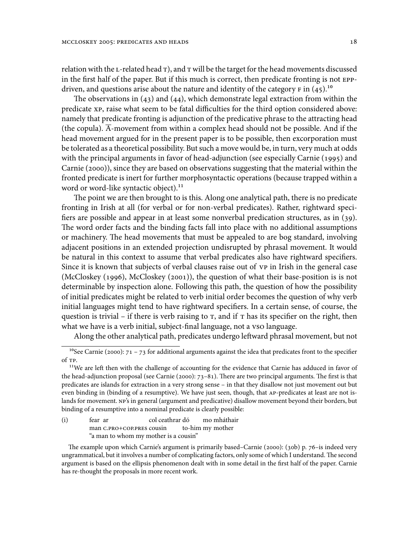relation with the  $L$ -related head  $T$ ), and  $T$  will be the target for the head movements discussed in the first half of the paper. But if this much is correct, then predicate fronting is not EPPdriven, and questions arise about the nature and identity of the category  $F$  in (45).<sup>10</sup>

The observations in (43) and (44), which demonstrate legal extraction from within the predicate XP, raise what seem to be fatal difficulties for the third option considered above: namely that predicate fronting is adjunction of the predicative phrase to the attracting head (the copula).  $\overline{A}$ -movement from within a complex head should not be possible. And if the head movement argued for in the present paper is to be possible, then excorporation must be tolerated as a theoretical possibility. But such a move would be, in turn, very much at odds with the principal arguments in favor of head-adjunction (see especially Carnie (1995) and Carnie (2000)), since they are based on observations suggesting that the material within the fronted predicate is inert for further morphosyntactic operations (because trapped within a word or word-like syntactic object).<sup>11</sup>

The point we are then brought to is this. Along one analytical path, there is no predicate fronting in Irish at all (for verbal or for non-verbal predicates). Rather, rightward specifiers are possible and appear in at least some nonverbal predication structures, as in (39). The word order facts and the binding facts fall into place with no additional assumptions or machinery. The head movements that must be appealed to are bog standard, involving adjacent positions in an extended projection undisrupted by phrasal movement. It would be natural in this context to assume that verbal predicates also have rightward specifiers. Since it is known that subjects of verbal clauses raise out of VP in Irish in the general case (McCloskey (1996), McCloskey (2001)), the question of what their base-position is is not determinable by inspection alone. Following this path, the question of how the possibility of initial predicates might be related to verb initial order becomes the question of why verb initial languages might tend to have rightward specifiers. In a certain sense, of course, the question is trivial – if there is verb raising to  $T$ , and if  $T$  has its specifier on the right, then what we have is a verb initial, subject-final language, not a vso language.

Along the other analytical path, predicates undergo leftward phrasal movement, but not

(i) fear ar man C.PRO+COP.PRES cousin col ceathrar dó to-him my mother mo mháthair "a man to whom my mother is a cousin"

<sup>&</sup>lt;sup>10</sup>See Carnie (2000):  $71 - 73$  for additional arguments against the idea that predicates front to the specifier of TP.

<sup>&</sup>lt;sup>11</sup>We are left then with the challenge of accounting for the evidence that Carnie has adduced in favor of the head-adjunction proposal (see Carnie (2000): 73–81). There are two principal arguments. The first is that predicates are islands for extraction in a very strong sense – in that they disallow not just movement out but even binding in (binding of a resumptive). We have just seen, though, that AP-predicates at least are not islands for movement. NP's in general (argument and predicative) disallow movement beyond their borders, but binding of a resumptive into a nominal predicate is clearly possible:

The example upon which Carnie's argument is primarily based–Carnie (2000): (30b) p. 76–is indeed very ungrammatical, but it involves a number of complicating factors, only some of which I understand. The second argument is based on the ellipsis phenomenon dealt with in some detail in the first half of the paper. Carnie has re-thought the proposals in more recent work.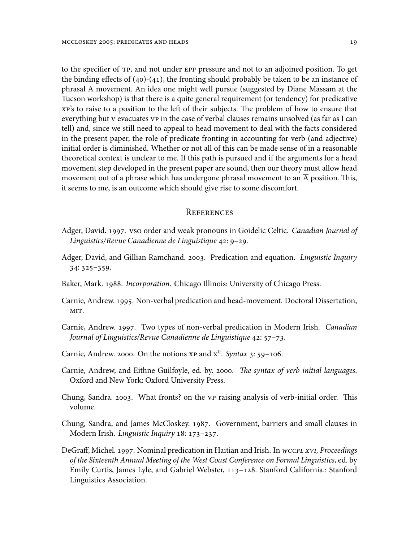to the specifier of TP, and not under EPP pressure and not to an adjoined position. To get the binding effects of  $(40)-(41)$ , the fronting should probably be taken to be an instance of phrasal  $\overline{A}$  movement. An idea one might well pursue (suggested by Diane Massam at the Tucson workshop) is that there is a quite general requirement (or tendency) for predicative XP's to raise to a position to the left of their subjects. The problem of how to ensure that everything but V evacuates VP in the case of verbal clauses remains unsolved (as far as I can tell) and, since we still need to appeal to head movement to deal with the facts considered in the present paper, the role of predicate fronting in accounting for verb (and adjective) initial order is diminished. Whether or not all of this can be made sense of in a reasonable theoretical context is unclear to me. If this path is pursued and if the arguments for a head movement step developed in the present paper are sound, then our theory must allow head movement out of a phrase which has undergone phrasal movement to an  $\overline{A}$  position. This, it seems to me, is an outcome which should give rise to some discomfort.

### **REFERENCES**

- Adger, David. 1997. VSO order and weak pronouns in Goidelic Celtic. *Canadian Journal of Linguistics/Revue Canadienne de Linguistique* 42: 9–29.
- Adger, David, and Gillian Ramchand. 2003. Predication and equation. *Linguistic Inquiry* 34: 325–359.
- Baker, Mark. 1988. *Incorporation*. Chicago Illinois: University of Chicago Press.
- Carnie, Andrew. 1995. Non-verbal predication and head-movement. Doctoral Dissertation, MIT.
- Carnie, Andrew. 1997. Two types of non-verbal predication in Modern Irish. *Canadian Journal of Linguistics/Revue Canadienne de Linguistique* 42: 57–73.
- Carnie, Andrew. 2000. On the notions  $xp$  and  $x^0$ . *Syntax* 3: 59–106.
- Carnie, Andrew, and Eithne Guilfoyle, ed. by. 2000. *The syntax of verb initial languages*. Oxford and New York: Oxford University Press.
- Chung, Sandra. 2003. What fronts? on the VP raising analysis of verb-initial order. This volume.
- Chung, Sandra, and James McCloskey. 1987. Government, barriers and small clauses in Modern Irish. *Linguistic Inquiry* 18: 173–237.
- DeGraff, Michel. 1997. Nominal predication in Haitian and Irish. In *WCCFL xVI, Proceedings of the Sixteenth Annual Meeting of the West Coast Conference on Formal Linguistics*, ed. by Emily Curtis, James Lyle, and Gabriel Webster, 113–128. Stanford California.: Stanford Linguistics Association.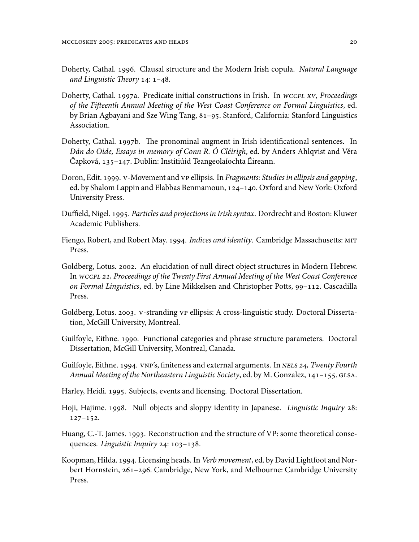- Doherty, Cathal. 1996. Clausal structure and the Modern Irish copula. *Natural Language and Linguistic Theory* 14: 1–48.
- Doherty, Cathal. 1997a. Predicate initial constructions in Irish. In *WCCFL xV, Proceedings of the Fifteenth Annual Meeting of the West Coast Conference on Formal Linguistics*, ed. by Brian Agbayani and Sze Wing Tang, 81–95. Stanford, California: Stanford Linguistics Association.
- Doherty, Cathal. 1997b. The pronominal augment in Irish identificational sentences. In *Dán do Oide, Essays in memory of Conn R. Ó Cléirigh*, ed. by Anders Ahlqvist and Věra Čapková, 135–147. Dublin: Institiúid Teangeolaíochta Éireann.
- Doron, Edit. 1999. V-Movement and VP ellipsis. In *Fragments: Studies in ellipsis and gapping*, ed. by Shalom Lappin and Elabbas Benmamoun, 124–140. Oxford and New York: Oxford University Press.
- Duffield, Nigel. 1995. *Particles and projections in Irish syntax*. Dordrecht and Boston: Kluwer Academic Publishers.
- Fiengo, Robert, and Robert May. 1994. *Indices and identity*. Cambridge Massachusetts: MIT Press.
- Goldberg, Lotus. 2002. An elucidation of null direct object structures in Modern Hebrew. In *WCCFL 21, Proceedings of the Twenty First Annual Meeting of the West Coast Conference on Formal Linguistics*, ed. by Line Mikkelsen and Christopher Potts, 99–112. Cascadilla Press.
- Goldberg, Lotus. 2003. V-stranding VP ellipsis: A cross-linguistic study. Doctoral Dissertation, McGill University, Montreal.
- Guilfoyle, Eithne. 1990. Functional categories and phrase structure parameters. Doctoral Dissertation, McGill University, Montreal, Canada.
- Guilfoyle, Eithne. 1994. VNP's, finiteness and external arguments. In *NELS 24, Twenty Fourth Annual Meeting of the Northeastern Linguistic Society*, ed. by M. Gonzalez, 141–155. GLSA.
- Harley, Heidi. 1995. Subjects, events and licensing. Doctoral Dissertation.
- Hoji, Hajime. 1998. Null objects and sloppy identity in Japanese. *Linguistic Inquiry* 28: 127–152.
- Huang, C.-T. James. 1993. Reconstruction and the structure of VP: some theoretical consequences. *Linguistic Inquiry* 24: 103–138.
- Koopman, Hilda. 1994. Licensing heads. In*Verb movement*, ed. by David Lightfoot and Norbert Hornstein, 261–296. Cambridge, New York, and Melbourne: Cambridge University Press.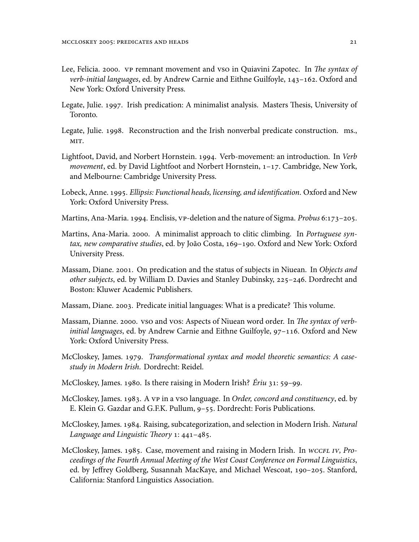- Lee, Felicia. 2000. VP remnant movement and VSO in Quiavini Zapotec. In *The syntax of verb-initial languages*, ed. by Andrew Carnie and Eithne Guilfoyle, 143–162. Oxford and New York: Oxford University Press.
- Legate, Julie. 1997. Irish predication: A minimalist analysis. Masters Thesis, University of Toronto.
- Legate, Julie. 1998. Reconstruction and the Irish nonverbal predicate construction. ms., MIT.
- Lightfoot, David, and Norbert Hornstein. 1994. Verb-movement: an introduction. In *Verb movement*, ed. by David Lightfoot and Norbert Hornstein, 1–17. Cambridge, New York, and Melbourne: Cambridge University Press.
- Lobeck, Anne. 1995. *Ellipsis: Functional heads, licensing, and identification*. Oxford and New York: Oxford University Press.
- Martins, Ana-Maria. 1994. Enclisis, VP-deletion and the nature of Sigma. *Probus* 6:173–205.
- Martins, Ana-Maria. 2000. A minimalist approach to clitic climbing. In *Portuguese syntax, new comparative studies*, ed. by João Costa, 169–190. Oxford and New York: Oxford University Press.
- Massam, Diane. 2001. On predication and the status of subjects in Niuean. In *Objects and other subjects*, ed. by William D. Davies and Stanley Dubinsky, 225–246. Dordrecht and Boston: Kluwer Academic Publishers.
- Massam, Diane. 2003. Predicate initial languages: What is a predicate? This volume.
- Massam, Dianne. 2000. VSO and VOS: Aspects of Niuean word order. In *The syntax of verbinitial languages*, ed. by Andrew Carnie and Eithne Guilfoyle, 97–116. Oxford and New York: Oxford University Press.
- McCloskey, James. 1979. *Transformational syntax and model theoretic semantics: A casestudy in Modern Irish*. Dordrecht: Reidel.
- McCloskey, James. 1980. Is there raising in Modern Irish? *Ériu* 31: 59–99.
- McCloskey, James. 1983. A VP in a VSO language. In *Order, concord and constituency*, ed. by E. Klein G. Gazdar and G.F.K. Pullum, 9–55. Dordrecht: Foris Publications.
- McCloskey, James. 1984. Raising, subcategorization, and selection in Modern Irish. *Natural Language and Linguistic Theory* 1: 441–485.
- McCloskey, James. 1985. Case, movement and raising in Modern Irish. In *WCCFL IV, Proceedings of the Fourth Annual Meeting of the West Coast Conference on Formal Linguistics*, ed. by Jeffrey Goldberg, Susannah MacKaye, and Michael Wescoat, 190–205. Stanford, California: Stanford Linguistics Association.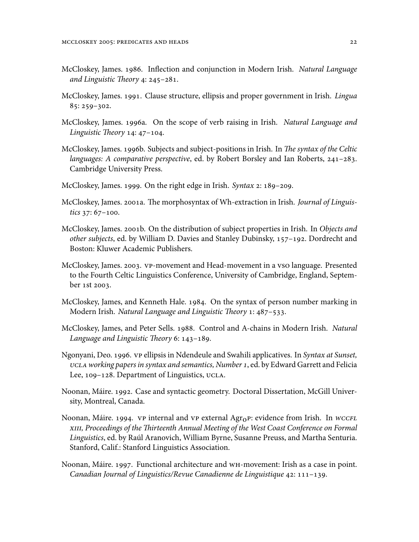- McCloskey, James. 1986. Inflection and conjunction in Modern Irish. *Natural Language and Linguistic Theory* 4: 245–281.
- McCloskey, James. 1991. Clause structure, ellipsis and proper government in Irish. *Lingua* 85: 259–302.
- McCloskey, James. 1996a. On the scope of verb raising in Irish. *Natural Language and Linguistic Theory* 14: 47–104.
- McCloskey, James. 1996b. Subjects and subject-positions in Irish. In *The syntax of the Celtic languages: A comparative perspective*, ed. by Robert Borsley and Ian Roberts, 241–283. Cambridge University Press.
- McCloskey, James. 1999. On the right edge in Irish. *Syntax* 2: 189–209.
- McCloskey, James. 2001a. The morphosyntax of Wh-extraction in Irish. *Journal of Linguistics* 37: 67–100.
- McCloskey, James. 2001b. On the distribution of subject properties in Irish. In *Objects and other subjects*, ed. by William D. Davies and Stanley Dubinsky, 157–192. Dordrecht and Boston: Kluwer Academic Publishers.
- McCloskey, James. 2003. VP-movement and Head-movement in a VSO language. Presented to the Fourth Celtic Linguistics Conference, University of Cambridge, England, September 1st 2003.
- McCloskey, James, and Kenneth Hale. 1984. On the syntax of person number marking in Modern Irish. *Natural Language and Linguistic Theory* 1: 487–533.
- McCloskey, James, and Peter Sells. 1988. Control and A-chains in Modern Irish. *Natural Language and Linguistic Theory* 6: 143–189.
- Ngonyani, Deo. 1996. VP ellipsis in Ndendeule and Swahili applicatives. In *Syntax at Sunset, UCLA working papers in syntax and semantics, Number 1*, ed. by Edward Garrett and Felicia Lee, 109–128. Department of Linguistics, UCLA.
- Noonan, Máire. 1992. Case and syntactic geometry. Doctoral Dissertation, McGill University, Montreal, Canada.
- Noonan, Máire. 1994. *VP* internal and *VP* external Agr<sub>O</sub>P: evidence from Irish. In *WCCFL xIII, Proceedings of the Thirteenth Annual Meeting of the West Coast Conference on Formal Linguistics*, ed. by Raúl Aranovich, William Byrne, Susanne Preuss, and Martha Senturia. Stanford, Calif.: Stanford Linguistics Association.
- Noonan, Máire. 1997. Functional architecture and WH-movement: Irish as a case in point. *Canadian Journal of Linguistics/Revue Canadienne de Linguistique* 42: 111–139.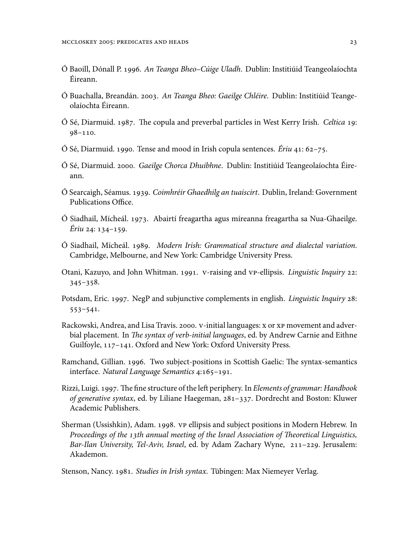- Ó Baoill, Dónall P. 1996. *An Teanga Bheo–Cúige Uladh*. Dublin: Institiúid Teangeolaíochta Éireann.
- Ó Buachalla, Breandán. 2003. *An Teanga Bheo: Gaeilge Chléire*. Dublin: Institiúid Teangeolaíochta Éireann.
- Ó Sé, Diarmuid. 1987. The copula and preverbal particles in West Kerry Irish. *Celtica* 19: 98–110.
- Ó Sé, Diarmuid. 1990. Tense and mood in Irish copula sentences. *Ériu* 41: 62–75.
- Ó Sé, Diarmuid. 2000. *Gaeilge Chorca Dhuibhne*. Dublin: Institiúid Teangeolaíochta Éireann.
- Ó Searcaigh, Séamus. 1939. *Coimhréir Ghaedhilg an tuaiscirt*. Dublin, Ireland: Government Publications Office.
- Ó Siadhail, Mícheál. 1973. Abairtí freagartha agus míreanna freagartha sa Nua-Ghaeilge. *Ériu* 24: 134–159.
- Ó Siadhail, Mícheál. 1989. *Modern Irish: Grammatical structure and dialectal variation*. Cambridge, Melbourne, and New York: Cambridge University Press.
- Otani, Kazuyo, and John Whitman. 1991. V-raising and VP-ellipsis. *Linguistic Inquiry* 22: 345–358.
- Potsdam, Eric. 1997. NegP and subjunctive complements in english. *Linguistic Inquiry* 28: 553–541.
- Rackowski, Andrea, and Lisa Travis. 2000. V-initial languages: X or XP movement and adverbial placement. In *The syntax of verb-initial languages*, ed. by Andrew Carnie and Eithne Guilfoyle, 117–141. Oxford and New York: Oxford University Press.
- Ramchand, Gillian. 1996. Two subject-positions in Scottish Gaelic: The syntax-semantics interface. *Natural Language Semantics* 4:165–191.
- Rizzi, Luigi. 1997. The fine structure of the left periphery. In *Elements of grammar: Handbook of generative syntax*, ed. by Liliane Haegeman, 281–337. Dordrecht and Boston: Kluwer Academic Publishers.
- Sherman (Ussishkin), Adam. 1998. VP ellipsis and subject positions in Modern Hebrew. In *Proceedings of the 13th annual meeting of the Israel Association of Theoretical Linguistics, Bar-Ilan University, Tel-Aviv, Israel*, ed. by Adam Zachary Wyne, 211–229. Jerusalem: Akademon.

Stenson, Nancy. 1981. *Studies in Irish syntax*. Tübingen: Max Niemeyer Verlag.